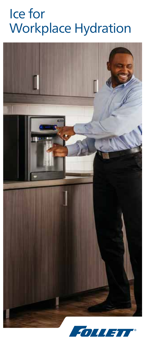## Ice for Workplace Hydration

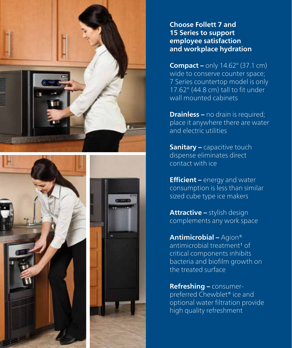





**Choose Follett 7 and 15 Series to support employee satisfaction and workplace hydration**

**Compact –** only 14.62" (37.1 cm) wide to conserve counter space; 7 Series countertop model is only 17.62" (44.8 cm) tall to fit under wall mounted cabinets

**Drainless –** no drain is required; place it anywhere there are water and electric utilities

**Sanitary –** capacitive touch dispense eliminates direct contact with ice

**Efficient –** energy and water consumption is less than similar sized cube type ice makers

**Attractive –** stylish design complements any work space

**Antimicrobial –** Agion® antimicrobial treatment1 of critical components inhibits bacteria and biofilm growth on the treated surface

**Refreshing –** consumerpreferred Chewblet® ice and optional water filtration provide high quality refreshment